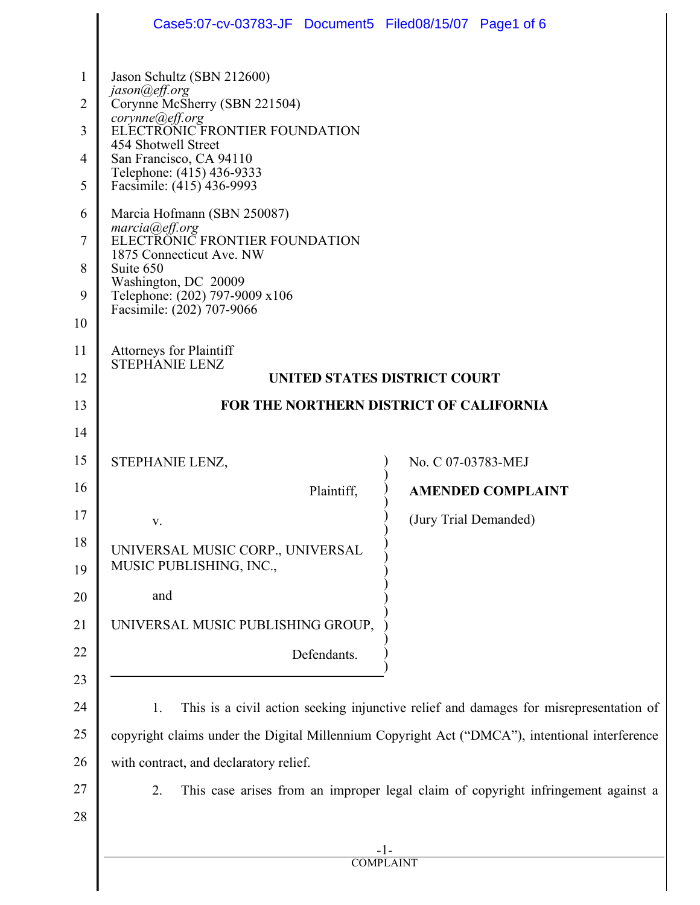|                                                                                      | Case5:07-cv-03783-JF Document5 Filed08/15/07 Page1 of 6                                                                                                                                                                                                                                                                                                                                                                                                          |                          |  |
|--------------------------------------------------------------------------------------|------------------------------------------------------------------------------------------------------------------------------------------------------------------------------------------------------------------------------------------------------------------------------------------------------------------------------------------------------------------------------------------------------------------------------------------------------------------|--------------------------|--|
| $\mathbf{1}$<br>$\overline{2}$<br>3<br>4<br>5<br>6<br>$\overline{7}$<br>8<br>9<br>10 | Jason Schultz (SBN 212600)<br>jason@eff.org<br>Corynne McSherry (SBN 221504)<br>corynne@eff.org<br>ELECTRONIC FRONTIER FOUNDATION<br>454 Shotwell Street<br>San Francisco, CA 94110<br>Telephone: (415) 436-9333<br>Facsimile: (415) 436-9993<br>Marcia Hofmann (SBN 250087)<br>marcia@eff.org<br>ELECTRONIC FRONTIER FOUNDATION<br>1875 Connecticut Ave. NW<br>Suite 650<br>Washington, DC 20009<br>Telephone: (202) 797-9009 x106<br>Facsimile: (202) 707-9066 |                          |  |
| 11                                                                                   | <b>Attorneys for Plaintiff</b>                                                                                                                                                                                                                                                                                                                                                                                                                                   |                          |  |
| 12                                                                                   | <b>STEPHANIE LENZ</b><br>UNITED STATES DISTRICT COURT                                                                                                                                                                                                                                                                                                                                                                                                            |                          |  |
| 13                                                                                   | FOR THE NORTHERN DISTRICT OF CALIFORNIA                                                                                                                                                                                                                                                                                                                                                                                                                          |                          |  |
| 14                                                                                   |                                                                                                                                                                                                                                                                                                                                                                                                                                                                  |                          |  |
| 15                                                                                   | STEPHANIE LENZ,                                                                                                                                                                                                                                                                                                                                                                                                                                                  | No. C 07-03783-MEJ       |  |
| 16                                                                                   | Plaintiff,                                                                                                                                                                                                                                                                                                                                                                                                                                                       | <b>AMENDED COMPLAINT</b> |  |
| 17                                                                                   | V.                                                                                                                                                                                                                                                                                                                                                                                                                                                               | (Jury Trial Demanded)    |  |
| 18<br>19                                                                             | UNIVERSAL MUSIC CORP., UNIVERSAL<br>MUSIC PUBLISHING, INC.,                                                                                                                                                                                                                                                                                                                                                                                                      |                          |  |
| 20                                                                                   | and                                                                                                                                                                                                                                                                                                                                                                                                                                                              |                          |  |
| 21                                                                                   | UNIVERSAL MUSIC PUBLISHING GROUP,                                                                                                                                                                                                                                                                                                                                                                                                                                |                          |  |
| 22                                                                                   | Defendants.                                                                                                                                                                                                                                                                                                                                                                                                                                                      |                          |  |
| 23                                                                                   |                                                                                                                                                                                                                                                                                                                                                                                                                                                                  |                          |  |
| 24                                                                                   | This is a civil action seeking injunctive relief and damages for misrepresentation of<br>1.                                                                                                                                                                                                                                                                                                                                                                      |                          |  |
| 25                                                                                   | copyright claims under the Digital Millennium Copyright Act ("DMCA"), intentional interference                                                                                                                                                                                                                                                                                                                                                                   |                          |  |
| 26                                                                                   | with contract, and declaratory relief.                                                                                                                                                                                                                                                                                                                                                                                                                           |                          |  |
| 27                                                                                   | 2.<br>This case arises from an improper legal claim of copyright infringement against a                                                                                                                                                                                                                                                                                                                                                                          |                          |  |
| 28                                                                                   |                                                                                                                                                                                                                                                                                                                                                                                                                                                                  |                          |  |
|                                                                                      | <b>COMPLAINT</b>                                                                                                                                                                                                                                                                                                                                                                                                                                                 |                          |  |
|                                                                                      |                                                                                                                                                                                                                                                                                                                                                                                                                                                                  |                          |  |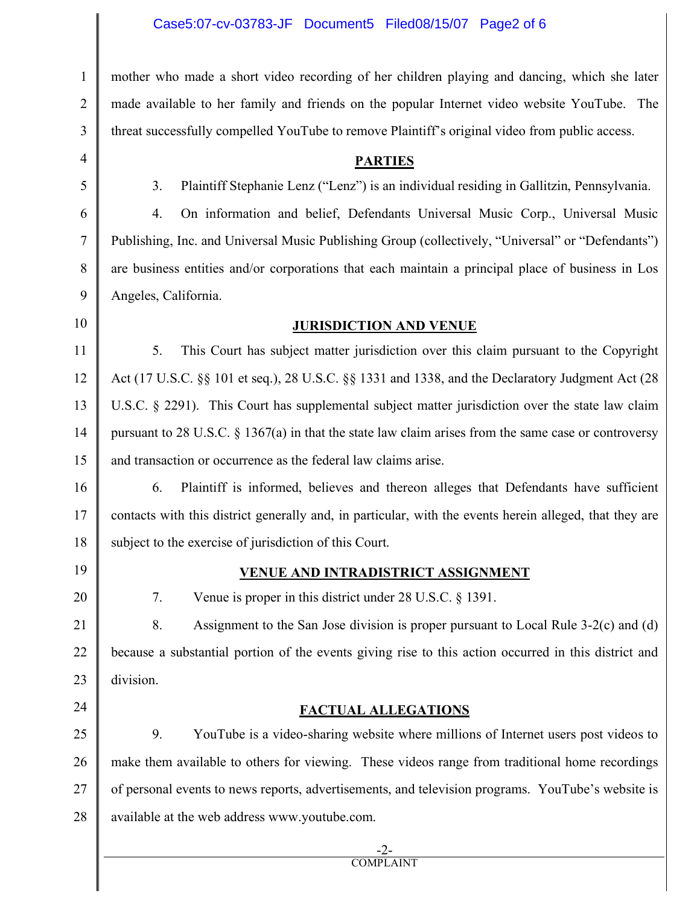## Case5:07-cv-03783-JF Document5 Filed08/15/07 Page2 of 6

mother who made a short video recording of her children playing and dancing, which she later made available to her family and friends on the popular Internet video website YouTube. The threat successfully compelled YouTube to remove Plaintiff's original video from public access.

#### **PARTIES**

3. Plaintiff Stephanie Lenz ("Lenz") is an individual residing in Gallitzin, Pennsylvania.

4. On information and belief, Defendants Universal Music Corp., Universal Music Publishing, Inc. and Universal Music Publishing Group (collectively, "Universal" or "Defendants") are business entities and/or corporations that each maintain a principal place of business in Los Angeles, California.

### **JURISDICTION AND VENUE**

5. This Court has subject matter jurisdiction over this claim pursuant to the Copyright Act (17 U.S.C. §§ 101 et seq.), 28 U.S.C. §§ 1331 and 1338, and the Declaratory Judgment Act (28 U.S.C. § 2291). This Court has supplemental subject matter jurisdiction over the state law claim pursuant to 28 U.S.C. § 1367(a) in that the state law claim arises from the same case or controversy and transaction or occurrence as the federal law claims arise.

16 17 18 6. Plaintiff is informed, believes and thereon alleges that Defendants have sufficient contacts with this district generally and, in particular, with the events herein alleged, that they are subject to the exercise of jurisdiction of this Court.

19

20

24

1

2

3

4

5

6

7

8

9

10

11

12

13

14

15

### **VENUE AND INTRADISTRICT ASSIGNMENT**

7. Venue is proper in this district under 28 U.S.C. § 1391.

21 22 23 8. Assignment to the San Jose division is proper pursuant to Local Rule 3-2(c) and (d) because a substantial portion of the events giving rise to this action occurred in this district and division.

# **FACTUAL ALLEGATIONS**

25 26 27 28 9. YouTube is a video-sharing website where millions of Internet users post videos to make them available to others for viewing. These videos range from traditional home recordings of personal events to news reports, advertisements, and television programs. YouTube's website is available at the web address www.youtube.com.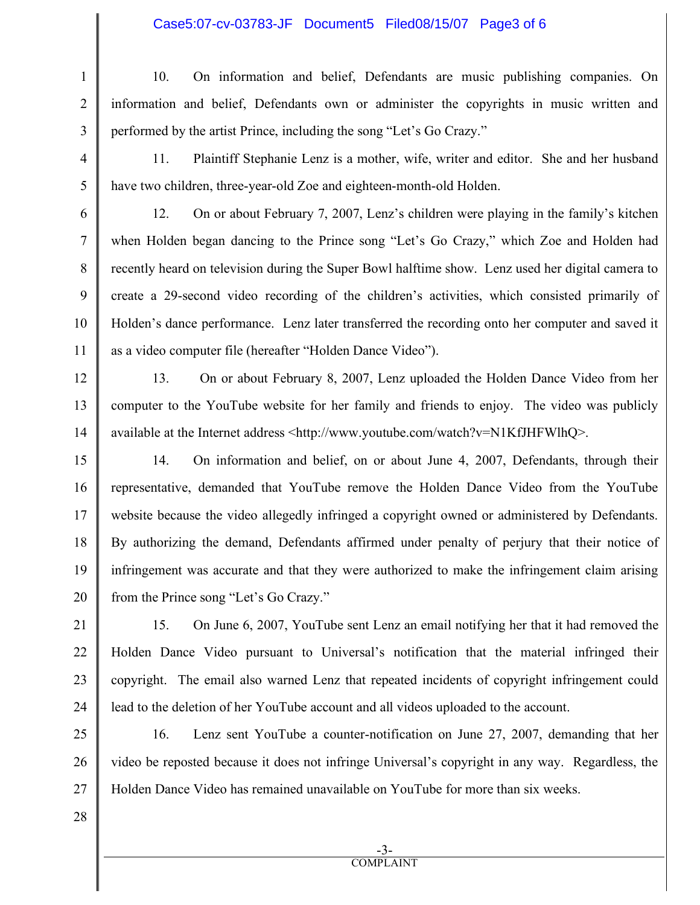## Case5:07-cv-03783-JF Document5 Filed08/15/07 Page3 of 6

10. On information and belief, Defendants are music publishing companies. On information and belief, Defendants own or administer the copyrights in music written and performed by the artist Prince, including the song "Let's Go Crazy."

11. Plaintiff Stephanie Lenz is a mother, wife, writer and editor. She and her husband have two children, three-year-old Zoe and eighteen-month-old Holden.

12. On or about February 7, 2007, Lenz's children were playing in the family's kitchen when Holden began dancing to the Prince song "Let's Go Crazy," which Zoe and Holden had recently heard on television during the Super Bowl halftime show. Lenz used her digital camera to create a 29-second video recording of the children's activities, which consisted primarily of Holden's dance performance. Lenz later transferred the recording onto her computer and saved it as a video computer file (hereafter "Holden Dance Video").

13. On or about February 8, 2007, Lenz uploaded the Holden Dance Video from her computer to the YouTube website for her family and friends to enjoy. The video was publicly available at the Internet address <http://www.youtube.com/watch?v=N1KfJHFWlhQ>.

15 16 17 18 19 20 14. On information and belief, on or about June 4, 2007, Defendants, through their representative, demanded that YouTube remove the Holden Dance Video from the YouTube website because the video allegedly infringed a copyright owned or administered by Defendants. By authorizing the demand, Defendants affirmed under penalty of perjury that their notice of infringement was accurate and that they were authorized to make the infringement claim arising from the Prince song "Let's Go Crazy."

22 24 15. On June 6, 2007, YouTube sent Lenz an email notifying her that it had removed the Holden Dance Video pursuant to Universal's notification that the material infringed their copyright. The email also warned Lenz that repeated incidents of copyright infringement could lead to the deletion of her YouTube account and all videos uploaded to the account.

25 26 27 16. Lenz sent YouTube a counter-notification on June 27, 2007, demanding that her video be reposted because it does not infringe Universal's copyright in any way. Regardless, the Holden Dance Video has remained unavailable on YouTube for more than six weeks.

28

1

 $\mathfrak{D}$ 

3

4

5

6

7

8

9

10

11

12

13

14

21

23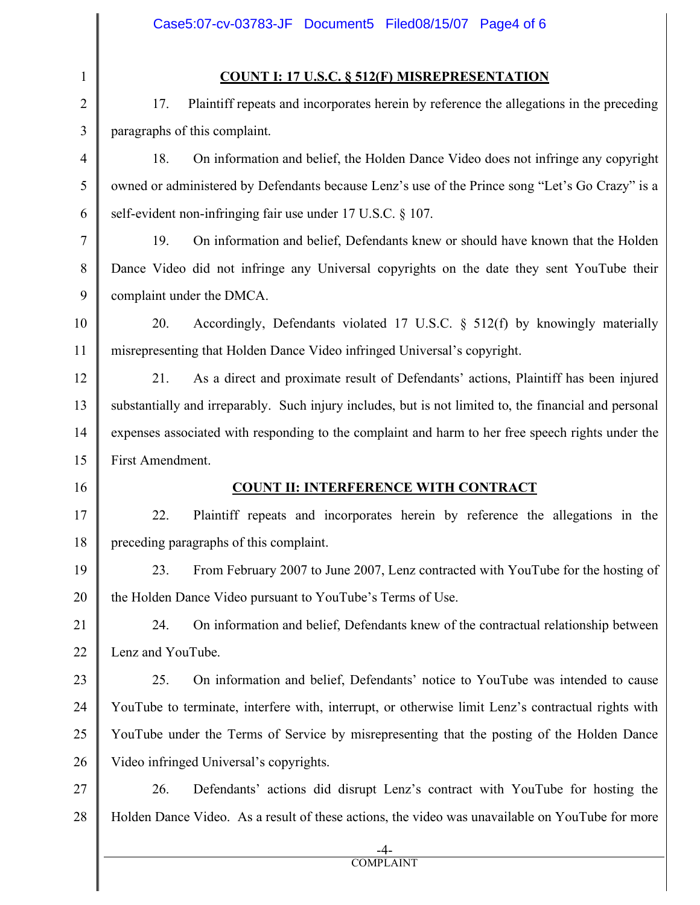# **COUNT I: 17 U.S.C. § 512(F) MISREPRESENTATION**

17. Plaintiff repeats and incorporates herein by reference the allegations in the preceding paragraphs of this complaint.

18. On information and belief, the Holden Dance Video does not infringe any copyright owned or administered by Defendants because Lenz's use of the Prince song "Let's Go Crazy" is a self-evident non-infringing fair use under 17 U.S.C. § 107.

19. On information and belief, Defendants knew or should have known that the Holden Dance Video did not infringe any Universal copyrights on the date they sent YouTube their complaint under the DMCA.

20. Accordingly, Defendants violated 17 U.S.C. § 512(f) by knowingly materially misrepresenting that Holden Dance Video infringed Universal's copyright.

21. As a direct and proximate result of Defendants' actions, Plaintiff has been injured substantially and irreparably. Such injury includes, but is not limited to, the financial and personal expenses associated with responding to the complaint and harm to her free speech rights under the First Amendment.

# **COUNT II: INTERFERENCE WITH CONTRACT**

22. Plaintiff repeats and incorporates herein by reference the allegations in the preceding paragraphs of this complaint.

23. From February 2007 to June 2007, Lenz contracted with YouTube for the hosting of the Holden Dance Video pursuant to YouTube's Terms of Use.

24. On information and belief, Defendants knew of the contractual relationship between Lenz and YouTube.

23 24 25 26 25. On information and belief, Defendants' notice to YouTube was intended to cause YouTube to terminate, interfere with, interrupt, or otherwise limit Lenz's contractual rights with YouTube under the Terms of Service by misrepresenting that the posting of the Holden Dance Video infringed Universal's copyrights.

27 28 26. Defendants' actions did disrupt Lenz's contract with YouTube for hosting the Holden Dance Video. As a result of these actions, the video was unavailable on YouTube for more

1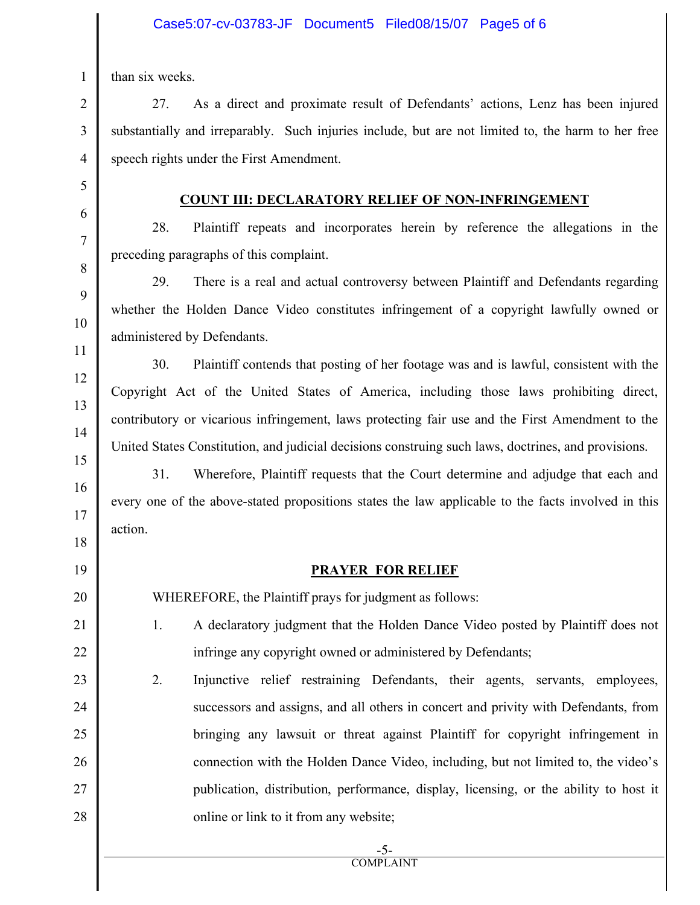than six weeks.

27. As a direct and proximate result of Defendants' actions, Lenz has been injured substantially and irreparably. Such injuries include, but are not limited to, the harm to her free speech rights under the First Amendment.

## **COUNT III: DECLARATORY RELIEF OF NON-INFRINGEMENT**

28. Plaintiff repeats and incorporates herein by reference the allegations in the preceding paragraphs of this complaint.

29. There is a real and actual controversy between Plaintiff and Defendants regarding whether the Holden Dance Video constitutes infringement of a copyright lawfully owned or administered by Defendants.

30. Plaintiff contends that posting of her footage was and is lawful, consistent with the Copyright Act of the United States of America, including those laws prohibiting direct, contributory or vicarious infringement, laws protecting fair use and the First Amendment to the United States Constitution, and judicial decisions construing such laws, doctrines, and provisions.

31. Wherefore, Plaintiff requests that the Court determine and adjudge that each and every one of the above-stated propositions states the law applicable to the facts involved in this action.

# **PRAYER FOR RELIEF**

WHEREFORE, the Plaintiff prays for judgment as follows:

- 1. A declaratory judgment that the Holden Dance Video posted by Plaintiff does not infringe any copyright owned or administered by Defendants;
- 2. Injunctive relief restraining Defendants, their agents, servants, employees, successors and assigns, and all others in concert and privity with Defendants, from bringing any lawsuit or threat against Plaintiff for copyright infringement in connection with the Holden Dance Video, including, but not limited to, the video's publication, distribution, performance, display, licensing, or the ability to host it online or link to it from any website;